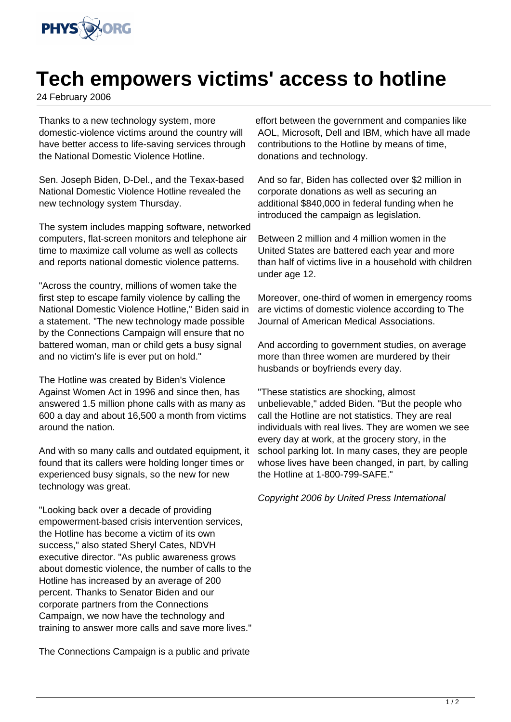

## **Tech empowers victims' access to hotline**

24 February 2006

Thanks to a new technology system, more domestic-violence victims around the country will have better access to life-saving services through the National Domestic Violence Hotline.

Sen. Joseph Biden, D-Del., and the Texax-based National Domestic Violence Hotline revealed the new technology system Thursday.

The system includes mapping software, networked computers, flat-screen monitors and telephone air time to maximize call volume as well as collects and reports national domestic violence patterns.

"Across the country, millions of women take the first step to escape family violence by calling the National Domestic Violence Hotline," Biden said in a statement. "The new technology made possible by the Connections Campaign will ensure that no battered woman, man or child gets a busy signal and no victim's life is ever put on hold."

The Hotline was created by Biden's Violence Against Women Act in 1996 and since then, has answered 1.5 million phone calls with as many as 600 a day and about 16,500 a month from victims around the nation.

And with so many calls and outdated equipment, it found that its callers were holding longer times or experienced busy signals, so the new for new technology was great.

"Looking back over a decade of providing empowerment-based crisis intervention services, the Hotline has become a victim of its own success," also stated Sheryl Cates, NDVH executive director. "As public awareness grows about domestic violence, the number of calls to the Hotline has increased by an average of 200 percent. Thanks to Senator Biden and our corporate partners from the Connections Campaign, we now have the technology and training to answer more calls and save more lives."

The Connections Campaign is a public and private

effort between the government and companies like AOL, Microsoft, Dell and IBM, which have all made contributions to the Hotline by means of time, donations and technology.

And so far, Biden has collected over \$2 million in corporate donations as well as securing an additional \$840,000 in federal funding when he introduced the campaign as legislation.

Between 2 million and 4 million women in the United States are battered each year and more than half of victims live in a household with children under age 12.

Moreover, one-third of women in emergency rooms are victims of domestic violence according to The Journal of American Medical Associations.

And according to government studies, on average more than three women are murdered by their husbands or boyfriends every day.

"These statistics are shocking, almost unbelievable," added Biden. "But the people who call the Hotline are not statistics. They are real individuals with real lives. They are women we see every day at work, at the grocery story, in the school parking lot. In many cases, they are people whose lives have been changed, in part, by calling the Hotline at 1-800-799-SAFE."

Copyright 2006 by United Press International